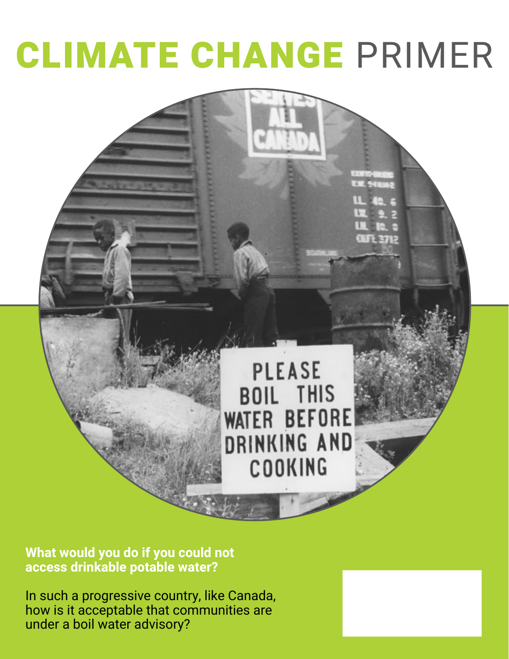# CLIMATE CHANGE PRIMER



**What would you do if you could not access drinkable potable water?** 

In such a progressive country, like Canada, how is it acceptable that communities are under a boil water advisory?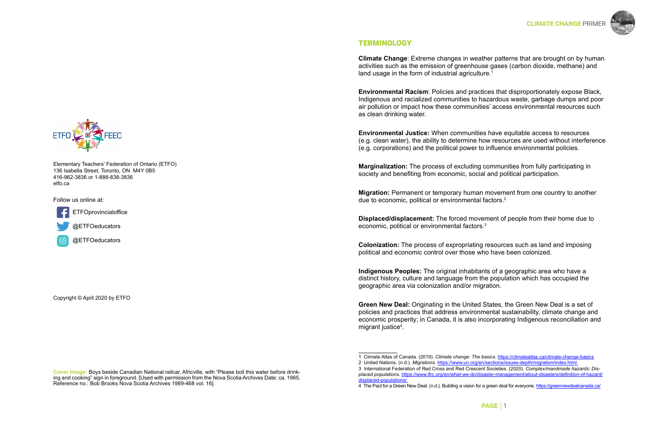# PAGE │2 PAGE │1

# **TERMINOLOGY**

**Climate Change**: Extreme changes in weather patterns that are brought on by human activities such as the emission of greenhouse gases (carbon dioxide, methane) and land usage in the form of industrial agriculture.<sup>1</sup>

**Environmental Racism**: Policies and practices that disproportionately expose Black, Indigenous and racialized communities to hazardous waste, garbage dumps and poor air pollution or impact how these communities' access environmental resources such as clean drinking water.

**Environmental Justice:** When communities have equitable access to resources (e.g. clean water), the ability to determine how resources are used without interference (e.g. corporations) and the political power to influence environmental policies.

**Marginalization:** The process of excluding communities from fully participating in society and benefiting from economic, social and political participation.

**Migration:** Permanent or temporary human movement from one country to another due to economic, political or environmental factors.2

**Displaced/displacement:** The forced movement of people from their home due to economic, political or environmental factors.3

**Colonization:** The process of expropriating resources such as land and imposing political and economic control over those who have been colonized.

**Indigenous Peoples:** The original inhabitants of a geographic area who have a distinct history, culture and language from the population which has occupied the geographic area via colonization and/or migration.

**Green New Deal:** Originating in the United States, the Green New Deal is a set of policies and practices that address environmental sustainability, climate change and economic prosperity; in Canada, it is also incorporating Indigenous reconciliation and migrant justice4 .

1 Climate Altas of Canada. (2019). *Climate change: The basics*. <https://climateatlas.ca/climate-change-basics> 3 International Federation of Red Cross and Red Crescent Societies. (2020). *Complex/mandmade hazards: Dis-*



**Cover Image:** Boys beside Canadian National railcar, Africville, with "Please boil this water before drinking and cooking" sign in foreground. [Used with permission from the Nova Scotia Archives Date: ca. 1965. Reference no.: Bob Brooks Nova Scotia Archives 1989-468 vol. 16].

#### **CLIMATE CHANGE PRIME**



Copyright © April 2020 by ETFO

Elementary Teachers' Federation of Ontario (ETFO) 136 Isabella Street, Toronto, ON M4Y 0B5 416-962-3836 or 1-888-838-3836 etfo.ca

Follow us online at:



**ETFOprovincialoffice** 

@ETFOeducators



<sup>2</sup> United Nations. (n.d.). *Migrations.* <https://www.un.org/en/sections/issues-depth/migration/index.html>

*placed populations*. [https://www.ifrc.org/en/what-we-do/disaster-management/about-disasters/definition-of-hazard/](https://www.ifrc.org/en/what-we-do/disaster-management/about-disasters/definition-of-hazard/displaced-populations/) [displaced-populations/](https://www.ifrc.org/en/what-we-do/disaster-management/about-disasters/definition-of-hazard/displaced-populations/)

<sup>4</sup> The Pact for a Green New Deal. (n.d.). Building a vision for a green deal for everyone.<https://greennewdealcanada.ca/>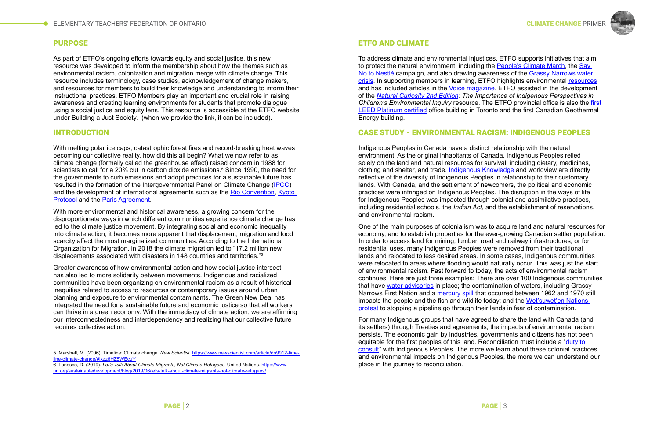# PURPOSE

As part of ETFO's ongoing efforts towards equity and social justice, this new resource was developed to inform the membership about how the themes such as environmental racism, colonization and migration merge with climate change. This resource includes terminology, case studies, acknowledgement of change makers, and resources for members to build their knowledge and understanding to inform their instructional practices. ETFO Members play an important and crucial role in raising awareness and creating learning environments for students that promote dialogue using a social justice and equity lens. This resource is accessible at the ETFO website under Building a Just Society. (when we provide the link, it can be included).

# INTRODUCTION

With melting polar ice caps, catastrophic forest fires and record-breaking heat waves becoming our collective reality, how did this all begin? What we now refer to as climate change (formally called the greenhouse effect) raised concern in 1988 for scientists to call for a 20% cut in carbon dioxide emissions.<sup>5</sup> Since 1990, the need for the governments to curb emissions and adopt practices for a sustainable future has resulted in the formation of the Intergovernmental Panel on Climate Change ([IPCC](https://www.ipcc.ch/)) and the development of international agreements such as the [Rio Convention,](https://unfccc.int/resource/docs/publications/rio_20_adaptation_brochure.pdf) [Kyoto](https://unfccc.int/process-and-meetings/the-kyoto-protocol/what-is-the-kyoto-protocol/kyoto-protocol-targets-for-the-first-commitment-period)  [Protocol](https://unfccc.int/process-and-meetings/the-kyoto-protocol/what-is-the-kyoto-protocol/kyoto-protocol-targets-for-the-first-commitment-period) and the [Paris Agreement](https://unfccc.int/process-and-meetings/the-paris-agreement/the-paris-agreement).

With more environmental and historical awareness, a growing concern for the disproportionate ways in which different communities experience climate change has led to the climate justice movement. By integrating social and economic inequality into climate action, it becomes more apparent that displacement, migration and food scarcity affect the most marginalized communities. According to the International Organization for Migration, in 2018 the climate migration led to "17.2 million new displacements associated with disasters in 148 countries and territories."6

Greater awareness of how environmental action and how social justice intersect has also led to more solidarity between movements. Indigenous and racialized communities have been organizing on environmental racism as a result of historical inequities related to access to resources or contemporary issues around urban planning and exposure to environmental contaminants. The Green New Deal has integrated the need for a sustainable future and economic justice so that all workers can thrive in a green economy. With the immediacy of climate action, we are affirming our interconnectedness and interdependency and realizing that our collective future requires collective action.

# ETFO AND CLIMATE

To address climate and environmental injustices, ETFO supports initiatives that aim to protect the natural environment, including the [People's Climate March](http://www.etfo.ca/drivinglabouraction/etfotakesaction/pages/etfo%20supports%20people%27s%20climate%20march.aspx), the [Say](http://etfo.ca/BuildingAJustSociety/ETFOTakesAction/pages/say%20no%20to%20nestle.aspx)  [No to Nestlé](http://etfo.ca/BuildingAJustSociety/ETFOTakesAction/pages/say%20no%20to%20nestle.aspx) campaign, and also drawing awareness of the [Grassy Narrows water](http://etfovoice.ca/article/making-connections-climate-change-and-social-justice)  [crisis](http://etfovoice.ca/article/making-connections-climate-change-and-social-justice). In supporting members in learning, ETFO highlights environmental [resources](http://etfo.ca/SupportingMembers/Resources/Pages/environmentclimatejustice.aspx) and has included articles in the [Voice magazine.](http://etfovoice.ca/) ETFO assisted in the development of the *[Natural Curiosity 2nd Edition](http://etfo.ca/SupportingMembers/Resources/pages/environmentclimatejustice.aspx): The Importance of Indigenous Perspectives in Children's Environmental Inquiry* resource. The ETFO provincial office is also the [first](http://www.etfo.ca/AboutETFO/MediaRoom/MediaReleases/Pages/ETFO%20Office%20Achieves%20LEED%20Platinum%20Status%20and%20Canadian%20%E2%80%98First%E2%80%99%20in%20Geothermal%20Energy.aspx)  [LEED Platinum certified](http://www.etfo.ca/AboutETFO/MediaRoom/MediaReleases/Pages/ETFO%20Office%20Achieves%20LEED%20Platinum%20Status%20and%20Canadian%20%E2%80%98First%E2%80%99%20in%20Geothermal%20Energy.aspx) office building in Toronto and the first Canadian Geothermal Energy building.

# CASE STUDY - ENVIRONMENTAL RACISM: INDIGENOUS PEOPLES

Indigenous Peoples in Canada have a distinct relationship with the natural environment. As the original inhabitants of Canada, Indigenous Peoples relied solely on the land and natural resources for survival, including dietary, medicines, clothing and shelter, and trade. [Indigenous Knowledge](https://www.ictinc.ca/blog/what-does-indigenous-knowledge-mean) and worldview are directly reflective of the diversity of Indigenous Peoples in relationship to their customary lands. With Canada, and the settlement of newcomers, the political and economic practices were infringed on Indigenous Peoples. The disruption in the ways of life for Indigenous Peoples was impacted through colonial and assimilative practices, including residential schools, the *Indian Act*, and the establishment of reservations, and environmental racism.

One of the main purposes of colonialism was to acquire land and natural resources for economy, and to establish properties for the ever-growing Canadian settler population. In order to access land for mining, lumber, road and railway infrastructures, or for residential uses, many Indigenous Peoples were removed from their traditional lands and relocated to less desired areas. In some cases, Indigenous communities were relocated to areas where flooding would naturally occur. This was just the start of environmental racism. Fast forward to today, the acts of environmental racism continues. Here are just three examples: There are over 100 Indigenous communities that have [water advisories](https://globalnews.ca/news/5887716/first-nations-boil-water-advisories/) in place; the contamination of waters, including Grassy Narrows First Nation and a [mercury spill](https://pulitzercenter.org/reporting/my-ears-keep-ringing-all-time-mercury-poisoning-among-grassy-narrows-first-nation) that occurred between 1962 and 1970 still impacts the people and the fish and wildlife today; and the [Wet'suwet'en Nations](https://globalnews.ca/news/6634179/indigenous-consent-pipeline-protests/)  [protest](https://globalnews.ca/news/6634179/indigenous-consent-pipeline-protests/) to stopping a pipeline go through their lands in fear of contamination.

For many Indigenous groups that have agreed to share the land with Canada (and its settlers) through Treaties and agreements, the impacts of environmental racism persists. The economic gain by industries, governments and citizens has not been equitable for the first peoples of this land. Reconciliation must include a "[duty to](http://www.fngovernance.org/resources_docs/Crown_Duty_to_Consult__Accommodate.pdf)  [consult](http://www.fngovernance.org/resources_docs/Crown_Duty_to_Consult__Accommodate.pdf)" with Indigenous Peoples. The more we learn about these colonial practices and environmental impacts on Indigenous Peoples, the more we can understand our place in the journey to reconciliation.



<sup>5</sup> Marshall, M. (2006). Timeline: Climate change. *New Scientist*. https://www.newscientist.com/article/dn9912-timeline-climate-change/#ixzz6HZ5WEcuY

<sup>6</sup> Lonesco, D. (2019). *Let's Talk About Climate Migrants, Not Climate Refugees*. United Nations. [https://www.](https://www.un.org/sustainabledevelopment/blog/2019/06/lets-talk-about-climate-migrants-not-climate-refugees/) [un.org/sustainabledevelopment/blog/2019/06/lets-talk-about-climate-migrants-not-climate-refugees/](https://www.un.org/sustainabledevelopment/blog/2019/06/lets-talk-about-climate-migrants-not-climate-refugees/)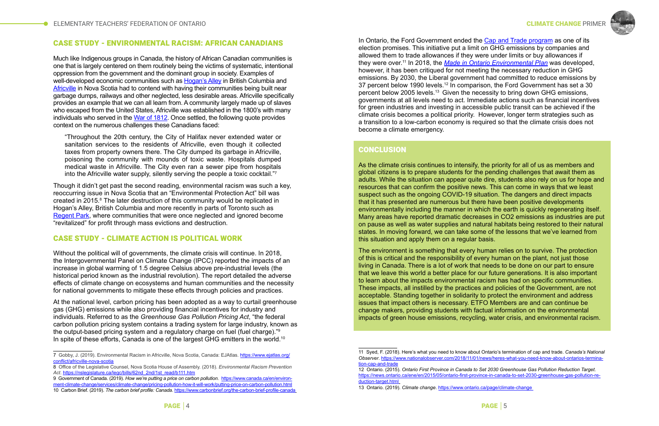# CASE STUDY - ENVIRONMENTAL RACISM: AFRICAN CANADIANS

Much like Indigenous groups in Canada, the history of African Canadian communities is one that is largely centered on them routinely being the victims of systematic, intentional oppression from the government and the dominant group in society. Examples of well-developed economic communities such as [Hogan's Alley](https://www.vancouverheritagefoundation.org/place-that-matters/hogans-alley/) in British Columbia and [Africville](https://humanrights.ca/story/the-story-of-africville) in Nova Scotia had to contend with having their communities being built near garbage dumps, railways and other neglected, less desirable areas. Africville specifically provides an example that we can all learn from. A community largely made up of slaves who escaped from the United States, Africville was established in the 1800's with many individuals who served in the [War of 1812.](https://www.thecanadianencyclopedia.ca/en/article/the-coloured-corps-african-canadians-and-the-war-of-1812) Once settled, the following quote provides context on the numerous challenges these Canadians faced:

"Throughout the 20th century, the City of Halifax never extended water or sanitation services to the residents of Africville, even though it collected taxes from property owners there. The City dumped its garbage in Africville, poisoning the community with mounds of toxic waste. Hospitals dumped medical waste in Africville. The City even ran a sewer pipe from hospitals into the Africville water supply, silently serving the people a toxic cocktail."7

Though it didn't get past the second reading, environmental racism was such a key, reoccurring issue in Nova Scotia that an "Environmental Protection Act" bill was created in 2015.8 The later destruction of this community would be replicated in Hogan's Alley, British Columbia and more recently in parts of Toronto such as [Regent Park,](https://www.theglobeandmail.com/news/toronto/regent-park-a-look-back-through-the-years-at-canadas-oldest-social-housing-project/article27612426/) where communities that were once neglected and ignored become "revitalized" for profit through mass evictions and destruction.

#### CASE STUDY - CLIMATE ACTION IS POLITICAL WORK

Without the political will of governments, the climate crisis will continue. In 2018, the Intergovernmental Panel on Climate Change (IPCC) reported the impacts of an increase in global warming of 1.5 degree Celsius above pre-industrial levels (the historical period known as the industrial revolution). The report detailed the adverse effects of climate change on ecosystems and human communities and the necessity for national governments to mitigate these effects through policies and practices.

In Ontario, the Ford Government ended the [Cap and Trade program](https://www.ontario.ca/page/cap-and-trade) as one of its election promises. This initiative put a limit on GHG emissions by companies and allowed them to trade allowances if they were under limits or buy allowances if they were over.11 In 2018, the *[Made in Ontario Environmental Plan](https://www.ontario.ca/page/made-in-ontario-environment-plan)* was developed, however, it has been critiqued for not meeting the necessary reduction in GHG emissions. By 2030, the Liberal government had committed to reduce emissions by 37 percent below 1990 levels.<sup>12</sup> In comparison, the Ford Government has set a 30 percent below 2005 levels.13 Given the necessity to bring down GHG emissions, governments at all levels need to act. Immediate actions such as financial incentives for green industries and investing in accessible public transit can be achieved if the climate crisis becomes a political priority. However, longer term strategies such as a transition to a low-carbon economy is required so that the climate crisis does not become a climate emergency.

# **CONCLUSION**

At the national level, carbon pricing has been adopted as a way to curtail greenhouse gas (GHG) emissions while also providing financial incentives for industry and individuals. Referred to as the *Greenhouse Gas Pollution Pricing Act*, "the federal carbon pollution pricing system contains a trading system for large industry, known as the output-based pricing system and a regulatory charge on fuel (fuel charge)."9 In spite of these efforts, Canada is one of the largest GHG emitters in the world.<sup>10</sup>

As the climate crisis continues to intensify, the priority for all of us as members and global citizens is to prepare students for the pending challenges that await them as adults. While the situation can appear quite dire, students also rely on us for hope and resources that can confirm the positive news. This can come in ways that we least suspect such as the ongoing COVID-19 situation. The dangers and direct impacts that it has presented are numerous but there have been positive developments environmentally including the manner in which the earth is quickly regenerating itself. Many areas have reported dramatic decreases in CO2 emissions as industries are put on pause as well as water supplies and natural habitats being restored to their natural states. In moving forward, we can take some of the lessons that we've learned from this situation and apply them on a regular basis.

The environment is something that every human relies on to survive. The protection of this is critical and the responsibility of every human on the plant, not just those living in Canada. There is a lot of work that needs to be done on our part to ensure that we leave this world a better place for our future generations. It is also important to learn about the impacts environmental racism has had on specific communities. These impacts, all instilled by the practices and policies of the Government, are not acceptable. Standing together in solidarity to protect the environment and address issues that impact others is necessary. ETFO Members are and can continue be change makers, providing students with factual information on the environmental impacts of green house emissions, recycling, water crisis, and environmental racism.

12 Ontario. (2015). *Ontario First Province in Canada to Set 2030 Greenhouse Gas Pollution Reduction Target*.





<sup>7</sup> Gobby, J. (2019). Environmental Racism in Africville, Nova Scotia, Canada: EJAtlas. [https://www.ejatlas.org/](https://www.ejatlas.org/conflict/africville-nova-scotia) [conflict/africville-nova-scotia](https://www.ejatlas.org/conflict/africville-nova-scotia)

<sup>8</sup> Office of the Legislative Counsel, Nova Scotia House of Assembly. (2018). *Environmental Racism Prevention Act*. [https://nslegislature.ca/legc/bills/62nd\\_2nd/1st\\_read/b111.htm](https://nslegislature.ca/legc/bills/62nd_2nd/1st_read/b111.htm)

<sup>9</sup> Government of Canada. (2019). *How we're putting a price on carbon pollution*. [https://www.canada.ca/en/environ](https://www.canada.ca/en/environment-climate-change/services/climate-change/pricing-pollution-how-it-will-work/putting-price-on-carbon-pollution.html)[ment-climate-change/services/climate-change/pricing-pollution-how-it-will-work/putting-price-on-carbon-pollution.html](https://www.canada.ca/en/environment-climate-change/services/climate-change/pricing-pollution-how-it-will-work/putting-price-on-carbon-pollution.html) 10 Carbon Brief. (2019). *The carbon brief profile: Canada*. <https://www.carbonbrief.org/the-carbon-brief-profile-canada>

<sup>11</sup> Syed, F. (2018). Here's what you need to know about Ontario's termination of cap and trade. *Canada's National*  Observer. https://www.nationalobserver.com/2018/11/01/news/heres-what-you-need-know-about-ontarios-termina-termina[tion-cap-and-trade](https://www.nationalobserver.com/2018/11/01/news/heres-what-you-need-know-about-ontarios-termination-cap-and-trade)

[https://news.ontario.ca/ene/en/2015/05/ontario-first-province-in-canada-to-set-2030-greenhouse-gas-pollution-re](https://news.ontario.ca/ene/en/2015/05/ontario-first-province-in-canada-to-set-2030-greenhouse-gas-pollution-reduction-target.html)[duction-target.html](https://news.ontario.ca/ene/en/2015/05/ontario-first-province-in-canada-to-set-2030-greenhouse-gas-pollution-reduction-target.html)

<sup>13</sup> Ontario. (2019). *Climate change*.<https://www.ontario.ca/page/climate-change>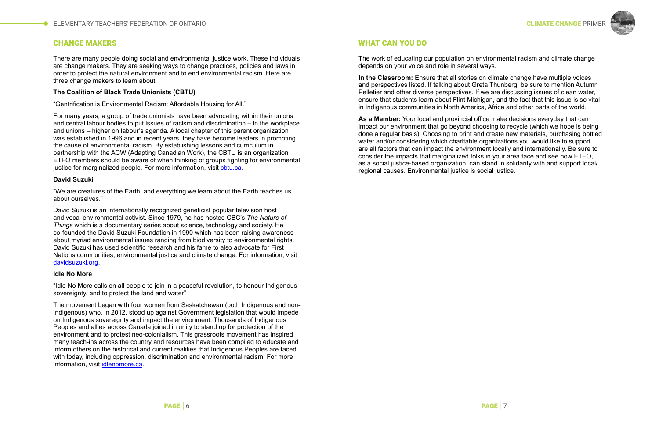



# WHAT CAN YOU DO

The work of educating our population on environmental racism and climate change depends on your voice and role in several ways.

**In the Classroom:** Ensure that all stories on climate change have multiple voices and perspectives listed. If talking about Greta Thunberg, be sure to mention Autumn Pelletier and other diverse perspectives. If we are discussing issues of clean water, ensure that students learn about Flint Michigan, and the fact that this issue is so vital in Indigenous communities in North America, Africa and other parts of the world.

For many years, a group of trade unionists have been advocating within their unions and central labour bodies to put issues of racism and discrimination – in the workplace and unions – higher on labour's agenda. A local chapter of this parent organization was established in 1996 and in recent years, they have become leaders in promoting the cause of environmental racism. By establishing lessons and curriculum in partnership with the ACW (Adapting Canadian Work), the CBTU is an organization ETFO members should be aware of when thinking of groups fighting for environmental justice for marginalized people. For more information, visit [cbtu.ca](http://cbtu.ca/).

**As a Member:** Your local and provincial office make decisions everyday that can impact our environment that go beyond choosing to recycle (which we hope is being done a regular basis). Choosing to print and create new materials, purchasing bottled water and/or considering which charitable organizations you would like to support are all factors that can impact the environment locally and internationally. Be sure to consider the impacts that marginalized folks in your area face and see how ETFO, as a social justice-based organization, can stand in solidarity with and support local/ regional causes. Environmental justice is social justice.

# CHANGE MAKERS

There are many people doing social and environmental justice work. These individuals are change makers. They are seeking ways to change practices, policies and laws in order to protect the natural environment and to end environmental racism. Here are three change makers to learn about.

#### **The Coalition of Black Trade Unionists (CBTU)**

"Gentrification is Environmental Racism: Affordable Housing for All."

#### **David Suzuki**

"We are creatures of the Earth, and everything we learn about the Earth teaches us about ourselves."

David Suzuki is an internationally recognized geneticist popular television host and vocal environmental activist. Since 1979, he has hosted CBC's *The Nature of Things* which is a documentary series about science, technology and society. He co-founded the David Suzuki Foundation in 1990 which has been raising awareness about myriad environmental issues ranging from biodiversity to environmental rights. David Suzuki has used scientific research and his fame to also advocate for First Nations communities, environmental justice and climate change. For information, visit [davidsuzuki.org](https://davidsuzuki.org).

#### **Idle No More**

"Idle No More calls on all people to join in a peaceful revolution, to honour Indigenous sovereignty, and to protect the land and water"

The movement began with four women from Saskatchewan (both Indigenous and non-Indigenous) who, in 2012, stood up against Government legislation that would impede on Indigenous sovereignty and impact the environment. Thousands of Indigenous Peoples and allies across Canada joined in unity to stand up for protection of the environment and to protest neo-colonialism. This grassroots movement has inspired many teach-ins across the country and resources have been compiled to educate and inform others on the historical and current realities that Indigenous Peoples are faced with today, including oppression, discrimination and environmental racism. For more information, visit [idlenomore.ca](http://www.idlenomore.ca/).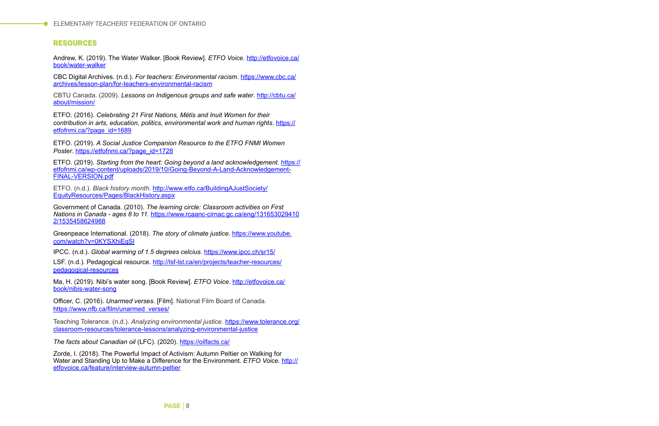# RESOURCES

Andrew, K. (2019). The Water Walker. [Book Review]. *ETFO Voice*. [http://etfovoice.ca/](http://etfovoice.ca/book/water-walker) [book/water-walker](http://etfovoice.ca/book/water-walker)

CBC Digital Archives. (n.d.). *For teachers: Environmental racism*. [https://www.cbc.ca/](https://www.cbc.ca/archives/lesson-plan/for-teachers-environmental-racism) [archives/lesson-plan/for-teachers-environmental-racism](https://www.cbc.ca/archives/lesson-plan/for-teachers-environmental-racism)

CBTU Canada. (2009). *Lessons on Indigenous groups and safe water*. [http://cbtu.ca/](http://cbtu.ca/about/mission/) [about/mission/](http://cbtu.ca/about/mission/)

ETFO. (2016). *Celebrating 21 First Nations, Métis and Inuit Women for their contribution in arts, education, politics, environmental work and human rights*. [https://](https://etfofnmi.ca/?page_id=1689) [etfofnmi.ca/?page\\_id=1689](https://etfofnmi.ca/?page_id=1689)

ETFO. (2019). *A Social Justice Companion Resource to the ETFO FNMI Women Poster*. [https://etfofnmi.ca/?page\\_id=1728](https://etfofnmi.ca/?page_id=1728)

LSF. (n.d.). Pedagogical resource. [http://lsf-lst.ca/en/projects/teacher-resources/](http://lsf-lst.ca/en/projects/teacher-resources/pedagogical-resources) [pedagogical-resources](http://lsf-lst.ca/en/projects/teacher-resources/pedagogical-resources)

ETFO. (2019). *Starting from the heart: Going beyond a land acknowledgement*. [https://](https://etfofnmi.ca/wp-content/uploads/2019/10/Going-Beyond-A-Land-Acknowledgement-FINAL-VERSION.pdf) [etfofnmi.ca/wp-content/uploads/2019/10/Going-Beyond-A-Land-Acknowledgement-](https://etfofnmi.ca/wp-content/uploads/2019/10/Going-Beyond-A-Land-Acknowledgement-FINAL-VERSION.pdf)[FINAL-VERSION.pdf](https://etfofnmi.ca/wp-content/uploads/2019/10/Going-Beyond-A-Land-Acknowledgement-FINAL-VERSION.pdf)

ETFO. (n.d.). *Black history month*. [http://www.etfo.ca/BuildingAJustSociety/](http://www.etfo.ca/BuildingAJustSociety/EquityResources/Pages/BlackHistory.aspx) [EquityResources/Pages/BlackHistory.aspx](http://www.etfo.ca/BuildingAJustSociety/EquityResources/Pages/BlackHistory.aspx)

Government of Canada. (2010). *The learning circle: Classroom activities on First Nations in Canada - ages 8 to 11*. [https://www.rcaanc-cirnac.gc.ca/eng/131653029410](https://www.rcaanc-cirnac.gc.ca/eng/1316530294102/1535458624988) [2/1535458624988](https://www.rcaanc-cirnac.gc.ca/eng/1316530294102/1535458624988)

Greenpeace International. (2018). *The story of climate justice*. [https://www.youtube.](https://www.youtube.com/watch?v=0KYSXhiEgSI) [com/watch?v=0KYSXhiEgSI](https://www.youtube.com/watch?v=0KYSXhiEgSI)

IPCC. (n.d.). *Global warming of 1.5 degrees celcius*.<https://www.ipcc.ch/sr15/>

Ma, H. (2019). Nibi's water song. [Book Review]. *ETFO Voice*. [http://etfovoice.ca/](http://etfovoice.ca/book/nibis-water-song) [book/nibis-water-song](http://etfovoice.ca/book/nibis-water-song)

Officer, C. (2016). *Unarmed verses*. [Film]. National Film Board of Canada. [https://www.nfb.ca/film/unarmed\\_verses/](https://www.nfb.ca/film/unarmed_verses/)

Teaching Tolerance. (n.d.). *Analyzing environmental justice*. [https://www.tolerance.org/](https://www.tolerance.org/classroom-resources/tolerance-lessons/analyzing-environmental-justice) [classroom-resources/tolerance-lessons/analyzing-environmental-justice](https://www.tolerance.org/classroom-resources/tolerance-lessons/analyzing-environmental-justice)

*The facts about Canadian oil* (LFC). (2020). <https://oilfacts.ca/>

Zorde, I. (2018). The Powerful Impact of Activism: Autumn Peltier on Walking for Water and Standing Up to Make a Difference for the Environment. *ETFO Voice*. [http://](http://etfovoice.ca/feature/interview-autumn-peltier) [etfovoice.ca/feature/interview-autumn-peltier](http://etfovoice.ca/feature/interview-autumn-peltier)